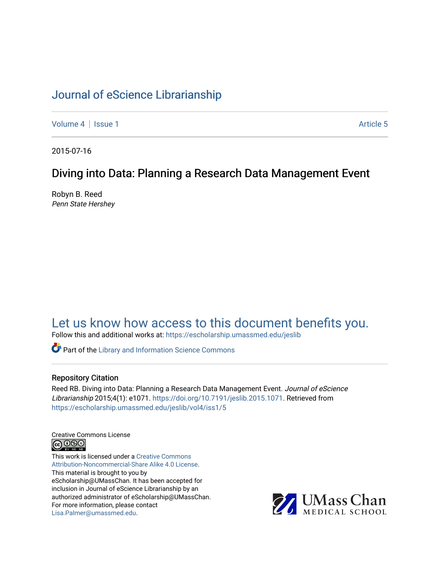# [Journal of eScience Librarianship](https://escholarship.umassmed.edu/jeslib)

[Volume 4](https://escholarship.umassmed.edu/jeslib/vol4) | [Issue 1](https://escholarship.umassmed.edu/jeslib/vol4/iss1) Article 5

2015-07-16

# Diving into Data: Planning a Research Data Management Event

Robyn B. Reed Penn State Hershey

# [Let us know how access to this document benefits you.](https://arcsapps.umassmed.edu/redcap/surveys/?s=XWRHNF9EJE)

Follow this and additional works at: [https://escholarship.umassmed.edu/jeslib](https://escholarship.umassmed.edu/jeslib?utm_source=escholarship.umassmed.edu%2Fjeslib%2Fvol4%2Fiss1%2F5&utm_medium=PDF&utm_campaign=PDFCoverPages) 

**Part of the Library and Information Science Commons** 

#### Repository Citation

Reed RB. Diving into Data: Planning a Research Data Management Event. Journal of eScience Librarianship 2015;4(1): e1071. [https://doi.org/10.7191/jeslib.2015.1071.](https://doi.org/10.7191/jeslib.2015.1071) Retrieved from [https://escholarship.umassmed.edu/jeslib/vol4/iss1/5](https://escholarship.umassmed.edu/jeslib/vol4/iss1/5?utm_source=escholarship.umassmed.edu%2Fjeslib%2Fvol4%2Fiss1%2F5&utm_medium=PDF&utm_campaign=PDFCoverPages) 

Creative Commons License **@** 0ெ

This work is licensed under a [Creative Commons](https://creativecommons.org/licenses/by-nc-sa/4.0/) [Attribution-Noncommercial-Share Alike 4.0 License](https://creativecommons.org/licenses/by-nc-sa/4.0/). This material is brought to you by eScholarship@UMassChan. It has been accepted for inclusion in Journal of eScience Librarianship by an authorized administrator of eScholarship@UMassChan. For more information, please contact [Lisa.Palmer@umassmed.edu](mailto:Lisa.Palmer@umassmed.edu).

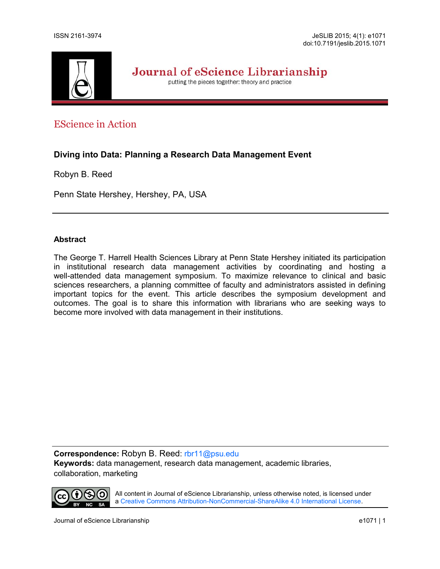

Journal of eScience Librarianship

putting the pieces together: theory and practice

# EScience in Action

# **Diving into Data: Planning a Research Data Management Event**

Robyn B. Reed

Penn State Hershey, Hershey, PA, USA

## **Abstract**

The George T. Harrell Health Sciences Library at Penn State Hershey initiated its participation in institutional research data management activities by coordinating and hosting a well-attended data management symposium. To maximize relevance to clinical and basic sciences researchers, a planning committee of faculty and administrators assisted in defining important topics for the event. This article describes the symposium development and outcomes. The goal is to share this information with librarians who are seeking ways to become more involved with data management in their institutions.

**Correspondence:** Robyn B. Reed: [rbr11@psu.edu](mailto:rbr11@psu.edu) **Keywords:** data management, research data management, academic libraries, collaboration, marketing



All content in Journal of eScience Librarianship, unless otherwise noted, is licensed under a Creative Commons Attribution-NonCommercial-[ShareAlike 4.0 International License.](http://creativecommons.org/licenses/by-nc-sa/4.0/)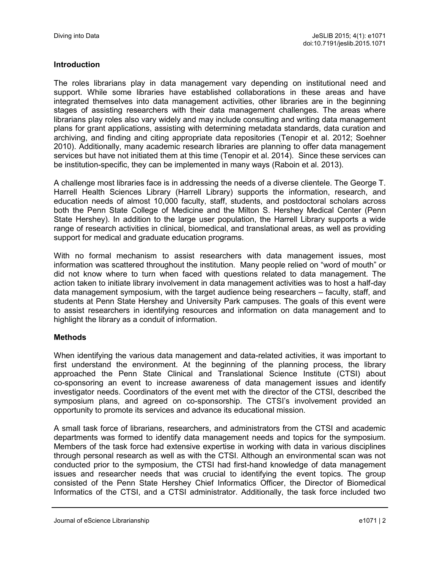# **Introduction**

The roles librarians play in data management vary depending on institutional need and support. While some libraries have established collaborations in these areas and have integrated themselves into data management activities, other libraries are in the beginning stages of assisting researchers with their data management challenges. The areas where librarians play roles also vary widely and may include consulting and writing data management plans for grant applications, assisting with determining metadata standards, data curation and archiving, and finding and citing appropriate data repositories (Tenopir et al. 2012; Soehner 2010). Additionally, many academic research libraries are planning to offer data management services but have not initiated them at this time (Tenopir et al. 2014). Since these services can be institution-specific, they can be implemented in many ways (Raboin et al. 2013).

A challenge most libraries face is in addressing the needs of a diverse clientele. The George T. Harrell Health Sciences Library (Harrell Library) supports the information, research, and education needs of almost 10,000 faculty, staff, students, and postdoctoral scholars across both the Penn State College of Medicine and the Milton S. Hershey Medical Center (Penn State Hershey). In addition to the large user population, the Harrell Library supports a wide range of research activities in clinical, biomedical, and translational areas, as well as providing support for medical and graduate education programs.

With no formal mechanism to assist researchers with data management issues, most information was scattered throughout the institution. Many people relied on "word of mouth" or did not know where to turn when faced with questions related to data management. The action taken to initiate library involvement in data management activities was to host a half-day data management symposium, with the target audience being researchers – faculty, staff, and students at Penn State Hershey and University Park campuses. The goals of this event were to assist researchers in identifying resources and information on data management and to highlight the library as a conduit of information.

# **Methods**

When identifying the various data management and data-related activities, it was important to first understand the environment. At the beginning of the planning process, the library approached the Penn State Clinical and Translational Science Institute (CTSI) about co-sponsoring an event to increase awareness of data management issues and identify investigator needs. Coordinators of the event met with the director of the CTSI, described the symposium plans, and agreed on co-sponsorship. The CTSI's involvement provided an opportunity to promote its services and advance its educational mission.

A small task force of librarians, researchers, and administrators from the CTSI and academic departments was formed to identify data management needs and topics for the symposium. Members of the task force had extensive expertise in working with data in various disciplines through personal research as well as with the CTSI. Although an environmental scan was not conducted prior to the symposium, the CTSI had first-hand knowledge of data management issues and researcher needs that was crucial to identifying the event topics. The group consisted of the Penn State Hershey Chief Informatics Officer, the Director of Biomedical Informatics of the CTSI, and a CTSI administrator. Additionally, the task force included two

Journal of eScience Librarianship e1071 | 2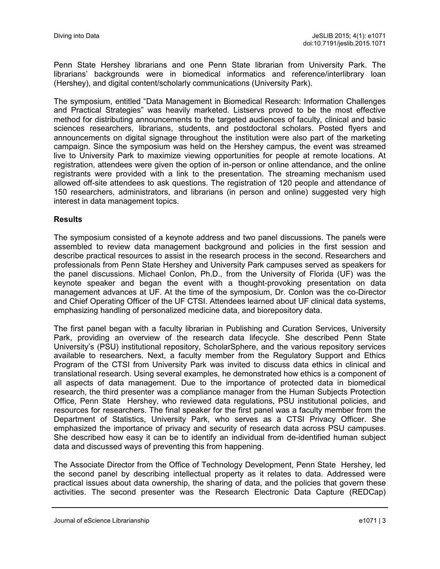Penn State Hershey librarians and one Penn State librarian from University Park. The librarians' backgrounds were in biomedical informatics and reference/interlibrary loan (Hershey), and digital content/scholarly communications (University Park).

The symposium, entitled "Data Management in Biomedical Research: Information Challenges and Practical Strategies" was heavily marketed. Listservs proved to be the most effective method for distributing announcements to the targeted audiences of faculty, clinical and basic sciences researchers, librarians, students, and postdoctoral scholars. Posted flyers and announcements on digital signage throughout the institution were also part of the marketing campaign. Since the symposium was held on the Hershey campus, the event was streamed live to University Park to maximize viewing opportunities for people at remote locations. At registration, attendees were given the option of in-person or online attendance, and the online registrants were provided with a link to the presentation. The streaming mechanism used allowed off-site attendees to ask questions. The registration of 120 people and attendance of 150 researchers, administrators, and librarians (in person and online) suggested very high interest in data management topics.

## **Results**

The symposium consisted of a keynote address and two panel discussions. The panels were assembled to review data management background and policies in the first session and describe practical resources to assist in the research process in the second. Researchers and professionals from Penn State Hershey and University Park campuses served as speakers for the panel discussions. Michael Conlon, Ph.D., from the University of Florida (UF) was the keynote speaker and began the event with a thought-provoking presentation on data management advances at UF. At the time of the symposium, Dr. Conlon was the co-Director and Chief Operating Officer of the UF CTSI. Attendees learned about UF clinical data systems, emphasizing handling of personalized medicine data, and biorepository data.

The first panel began with a faculty librarian in Publishing and Curation Services, University Park, providing an overview of the research data lifecycle. She described Penn State University's (PSU) institutional repository, ScholarSphere, and the various repository services available to researchers. Next, a faculty member from the Regulatory Support and Ethics Program of the CTSI from University Park was invited to discuss data ethics in clinical and translational research. Using several examples, he demonstrated how ethics is a component of all aspects of data management. Due to the importance of protected data in biomedical research, the third presenter was a compliance manager from the Human Subjects Protection Office, Penn State Hershey, who reviewed data regulations, PSU institutional policies, and resources for researchers. The final speaker for the first panel was a faculty member from the Department of Statistics, University Park, who serves as a CTSI Privacy Officer. She emphasized the importance of privacy and security of research data across PSU campuses. She described how easy it can be to identify an individual from de-identified human subject data and discussed ways of preventing this from happening.

The Associate Director from the Office of Technology Development, Penn State Hershey, led the second panel by describing intellectual property as it relates to data. Addressed were practical issues about data ownership, the sharing of data, and the policies that govern these activities. The second presenter was the Research Electronic Data Capture (REDCap)

Journal of eScience Librarianship e1071 | 3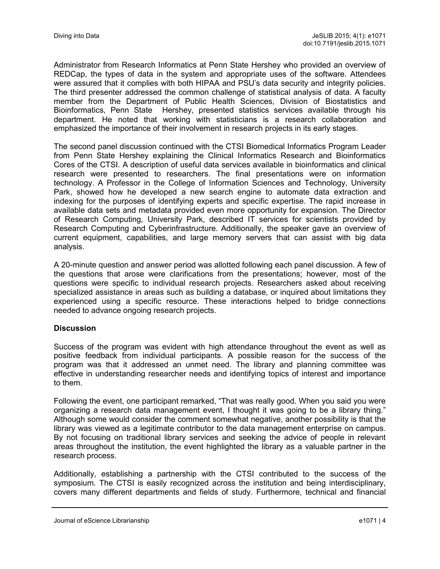Administrator from Research Informatics at Penn State Hershey who provided an overview of REDCap, the types of data in the system and appropriate uses of the software. Attendees were assured that it complies with both HIPAA and PSU's data security and integrity policies. The third presenter addressed the common challenge of statistical analysis of data. A faculty member from the Department of Public Health Sciences, Division of Biostatistics and Bioinformatics, Penn State Hershey, presented statistics services available through his department. He noted that working with statisticians is a research collaboration and emphasized the importance of their involvement in research projects in its early stages.

The second panel discussion continued with the CTSI Biomedical Informatics Program Leader from Penn State Hershey explaining the Clinical Informatics Research and Bioinformatics Cores of the CTSI. A description of useful data services available in bioinformatics and clinical research were presented to researchers. The final presentations were on information technology. A Professor in the College of Information Sciences and Technology, University Park, showed how he developed a new search engine to automate data extraction and indexing for the purposes of identifying experts and specific expertise. The rapid increase in available data sets and metadata provided even more opportunity for expansion. The Director of Research Computing, University Park, described IT services for scientists provided by Research Computing and Cyberinfrastructure. Additionally, the speaker gave an overview of current equipment, capabilities, and large memory servers that can assist with big data analysis.

A 20-minute question and answer period was allotted following each panel discussion. A few of the questions that arose were clarifications from the presentations; however, most of the questions were specific to individual research projects. Researchers asked about receiving specialized assistance in areas such as building a database, or inquired about limitations they experienced using a specific resource. These interactions helped to bridge connections needed to advance ongoing research projects.

# **Discussion**

Success of the program was evident with high attendance throughout the event as well as positive feedback from individual participants. A possible reason for the success of the program was that it addressed an unmet need. The library and planning committee was effective in understanding researcher needs and identifying topics of interest and importance to them.

Following the event, one participant remarked, "That was really good. When you said you were organizing a research data management event, I thought it was going to be a library thing." Although some would consider the comment somewhat negative, another possibility is that the library was viewed as a legitimate contributor to the data management enterprise on campus. By not focusing on traditional library services and seeking the advice of people in relevant areas throughout the institution, the event highlighted the library as a valuable partner in the research process.

Additionally, establishing a partnership with the CTSI contributed to the success of the symposium. The CTSI is easily recognized across the institution and being interdisciplinary, covers many different departments and fields of study. Furthermore, technical and financial

Journal of eScience Librarianship e1071 | 4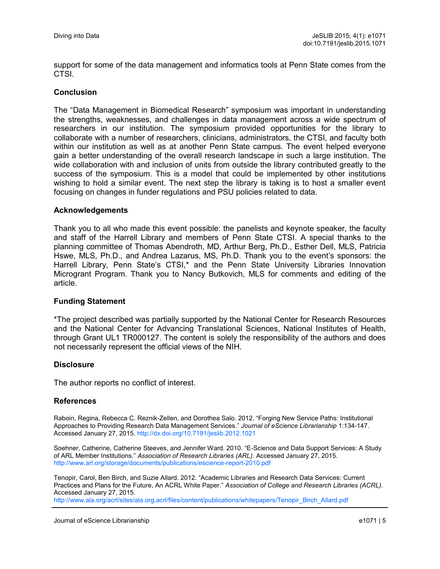support for some of the data management and informatics tools at Penn State comes from the **CTSI** 

#### **Conclusion**

The "Data Management in Biomedical Research" symposium was important in understanding the strengths, weaknesses, and challenges in data management across a wide spectrum of researchers in our institution. The symposium provided opportunities for the library to collaborate with a number of researchers, clinicians, administrators, the CTSI, and faculty both within our institution as well as at another Penn State campus. The event helped everyone gain a better understanding of the overall research landscape in such a large institution. The wide collaboration with and inclusion of units from outside the library contributed greatly to the success of the symposium. This is a model that could be implemented by other institutions wishing to hold a similar event. The next step the library is taking is to host a smaller event focusing on changes in funder regulations and PSU policies related to data.

#### **Acknowledgements**

Thank you to all who made this event possible: the panelists and keynote speaker, the faculty and staff of the Harrell Library and members of Penn State CTSI. A special thanks to the planning committee of Thomas Abendroth, MD, Arthur Berg, Ph.D., Esther Dell, MLS, Patricia Hswe, MLS, Ph.D., and Andrea Lazarus, MS, Ph.D. Thank you to the event's sponsors: the Harrell Library, Penn State's CTSI,\* and the Penn State University Libraries Innovation Microgrant Program. Thank you to Nancy Butkovich, MLS for comments and editing of the article.

#### **Funding Statement**

\*The project described was partially supported by the National Center for Research Resources and the National Center for Advancing Translational Sciences, National Institutes of Health, through Grant UL1 TR000127. The content is solely the responsibility of the authors and does not necessarily represent the official views of the NIH.

#### **Disclosure**

The author reports no conflict of interest.

#### **References**

Raboin, Regina, Rebecca C. Reznik-Zellen, and Dorothea Salo. 2012. "Forging New Service Paths: Institutional Approaches to Providing Research Data Management Services." *Journal of eScience Librarianship* 1:134-147. Accessed January 27, 2015. <http://dx.doi.org/10.7191/jeslib.2012.1021>

Soehner, Catherine, Catherine Steeves, and Jennifer Ward. 2010. "E-Science and Data Support Services: A Study of ARL Member Institutions." *Association of Research Libraries (ARL)*. Accessed January 27, 2015. [http://www.arl.org/storage/documents/publications/escience](http://www.arl.org/storage/documents/publications/escience-report-2010.pdf)-report-2010.pdf

Tenopir, Carol, Ben Birch, and Suzie Allard. 2012. "Academic Libraries and Research Data Services: Current Practices and Plans for the Future, An ACRL White Paper." *Association of College and Research Libraries (ACRL).*  Accessed January 27, 2015.

[http://www.ala.org/acrl/sites/ala.org.acrl/files/content/publications/whitepapers/Tenopir\\_Birch\\_Allard.pdf](http://www.ala.org/acrl/sites/ala.org.acrl/files/content/publications/whitepapers/Tenopir_Birch_Allard.pdf)